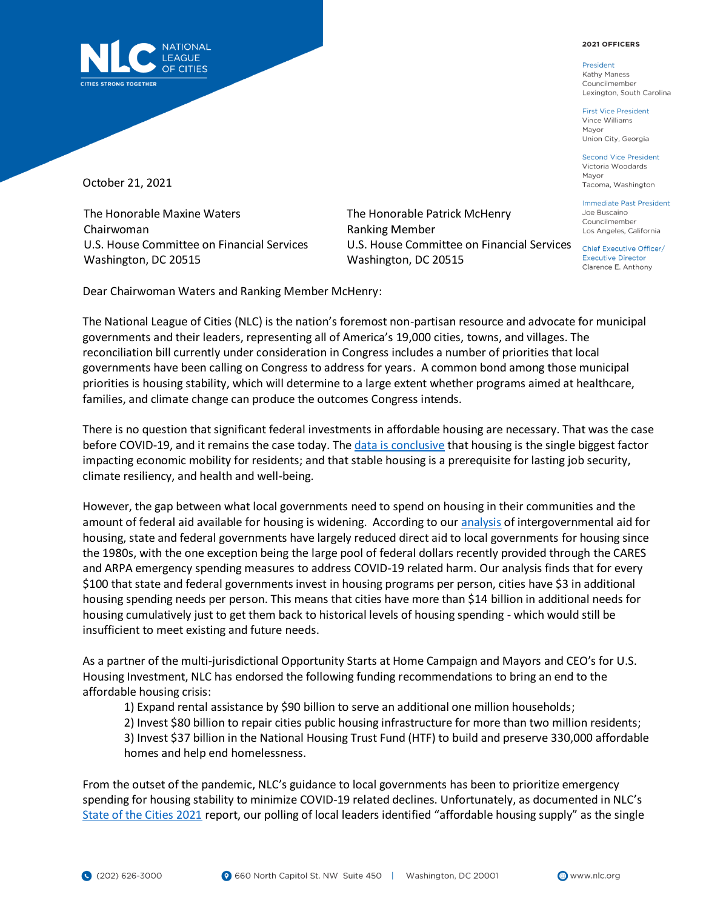## 2021 OFFICERS

President Kathy Maness Councilmember Lexington, South Carolina

**First Vice President** Vince Williams Mayor Union City, Georgia

**Second Vice President** Victoria Woodards Mayor Tacoma, Washington

**Immediate Past President** Joe Buscaino Councilmember Los Angeles, California

**Executive Director** Clarence E. Anthony



October 21, 2021

The Honorable Maxine Waters Chairwoman U.S. House Committee on Financial Services Washington, DC 20515

The Honorable Patrick McHenry Ranking Member U.S. House Committee on Financial Services Chief Executive Officer/ Washington, DC 20515

Dear Chairwoman Waters and Ranking Member McHenry:

The National League of Cities (NLC) is the nation's foremost non-partisan resource and advocate for municipal governments and their leaders, representing all of America's 19,000 cities, towns, and villages. The reconciliation bill currently under consideration in Congress includes a number of priorities that local governments have been calling on Congress to address for years. A common bond among those municipal priorities is housing stability, which will determine to a large extent whether programs aimed at healthcare, families, and climate change can produce the outcomes Congress intends.

There is no question that significant federal investments in affordable housing are necessary. That was the case before COVID-19, and it remains the case today. The [data is conclusive](https://www.nlc.org/wp-content/uploads/2020/10/nlc-Homeward-Bound_The-Road-to-Affordable-Housing_WEB-1.pdf) that housing is the single biggest factor impacting economic mobility for residents; and that stable housing is a prerequisite for lasting job security, climate resiliency, and health and well-being.

However, the gap between what local governments need to spend on housing in their communities and the amount of federal aid available for housing is widening. According to ou[r analysis](https://www.nlc.org/wp-content/uploads/2020/09/CityHousingSpendingOnTheRise.pdf) of intergovernmental aid for housing, state and federal governments have largely reduced direct aid to local governments for housing since the 1980s, with the one exception being the large pool of federal dollars recently provided through the CARES and ARPA emergency spending measures to address COVID-19 related harm. Our analysis finds that for every \$100 that state and federal governments invest in housing programs per person, cities have \$3 in additional housing spending needs per person. This means that cities have more than \$14 billion in additional needs for housing cumulatively just to get them back to historical levels of housing spending - which would still be insufficient to meet existing and future needs.

As a partner of the multi-jurisdictional Opportunity Starts at Home Campaign and Mayors and CEO's for U.S. Housing Investment, NLC has endorsed the following funding recommendations to bring an end to the affordable housing crisis:

1) Expand rental assistance by \$90 billion to serve an additional one million households;

2) Invest \$80 billion to repair cities public housing infrastructure for more than two million residents;

3) Invest \$37 billion in the National Housing Trust Fund (HTF) to build and preserve 330,000 affordable homes and help end homelessness.

From the outset of the pandemic, NLC's guidance to local governments has been to prioritize emergency spending for housing stability to minimize COVID-19 related declines. Unfortunately, as documented in NLC's [State of the Cities 2021](https://www.nlc.org/wp-content/uploads/2021/06/NLC_2021_StateOfTheCities_Report.pdf) report, our polling of local leaders identified "affordable housing supply" as the single